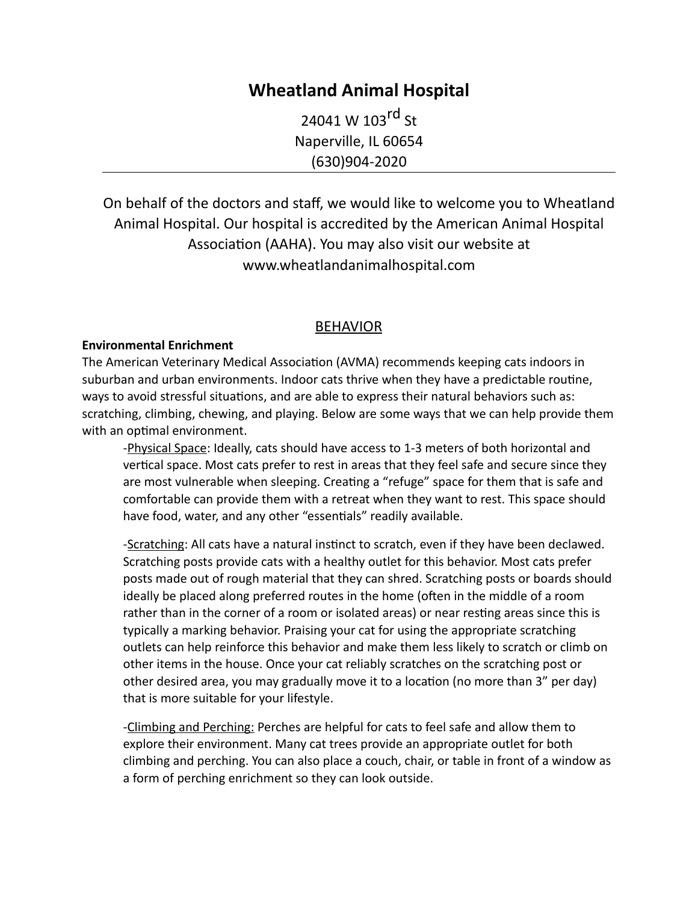# **Wheatland Animal Hospital**

24041 W 103rd St Naperville, IL 60654 (630)904-2020

On behalf of the doctors and staff, we would like to welcome you to Wheatland Animal Hospital. Our hospital is accredited by the American Animal Hospital Association (AAHA). You may also visit our website at www.wheatlandanimalhospital.com

# BEHAVIOR

### **Environmental Enrichment**

The American Veterinary Medical Association (AVMA) recommends keeping cats indoors in suburban and urban environments. Indoor cats thrive when they have a predictable routine, ways to avoid stressful situations, and are able to express their natural behaviors such as: scratching, climbing, chewing, and playing. Below are some ways that we can help provide them with an optimal environment.

-Physical Space: Ideally, cats should have access to 1-3 meters of both horizontal and vertical space. Most cats prefer to rest in areas that they feel safe and secure since they are most vulnerable when sleeping. Creating a "refuge" space for them that is safe and comfortable can provide them with a retreat when they want to rest. This space should have food, water, and any other "essentials" readily available.

-Scratching: All cats have a natural instinct to scratch, even if they have been declawed. Scratching posts provide cats with a healthy outlet for this behavior. Most cats prefer posts made out of rough material that they can shred. Scratching posts or boards should ideally be placed along preferred routes in the home (often in the middle of a room rather than in the corner of a room or isolated areas) or near resting areas since this is typically a marking behavior. Praising your cat for using the appropriate scratching outlets can help reinforce this behavior and make them less likely to scratch or climb on other items in the house. Once your cat reliably scratches on the scratching post or other desired area, you may gradually move it to a location (no more than 3" per day) that is more suitable for your lifestyle.

-Climbing and Perching: Perches are helpful for cats to feel safe and allow them to explore their environment. Many cat trees provide an appropriate outlet for both climbing and perching. You can also place a couch, chair, or table in front of a window as a form of perching enrichment so they can look outside.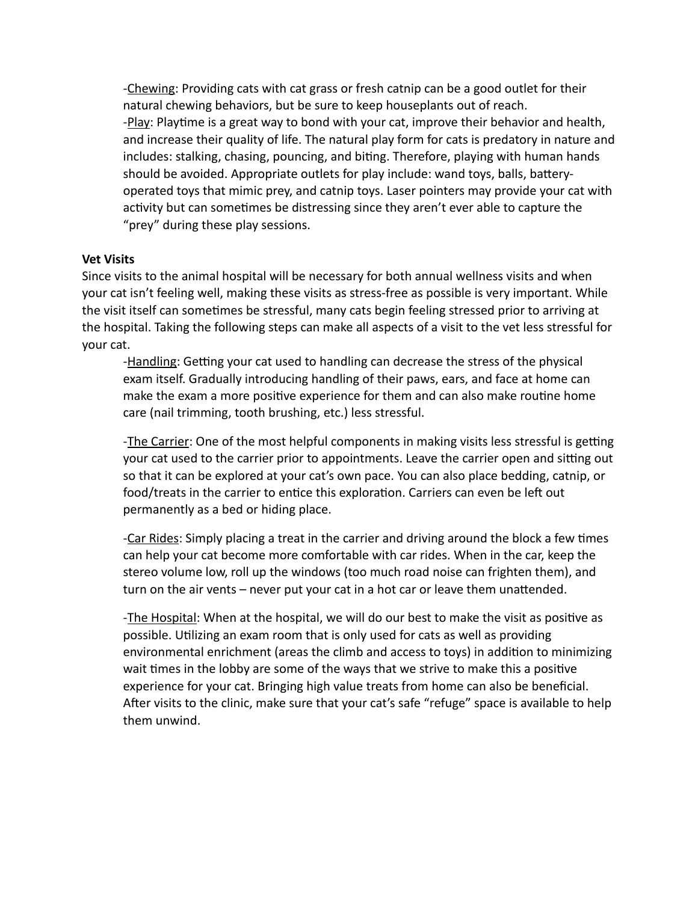-Chewing: Providing cats with cat grass or fresh catnip can be a good outlet for their natural chewing behaviors, but be sure to keep houseplants out of reach. -Play: Playtime is a great way to bond with your cat, improve their behavior and health, and increase their quality of life. The natural play form for cats is predatory in nature and includes: stalking, chasing, pouncing, and biting. Therefore, playing with human hands should be avoided. Appropriate outlets for play include: wand toys, balls, batteryoperated toys that mimic prey, and catnip toys. Laser pointers may provide your cat with activity but can sometimes be distressing since they aren't ever able to capture the "prey" during these play sessions.

### **Vet Visits**

Since visits to the animal hospital will be necessary for both annual wellness visits and when your cat isn't feeling well, making these visits as stress-free as possible is very important. While the visit itself can sometimes be stressful, many cats begin feeling stressed prior to arriving at the hospital. Taking the following steps can make all aspects of a visit to the vet less stressful for your cat.

-Handling: Getting your cat used to handling can decrease the stress of the physical exam itself. Gradually introducing handling of their paws, ears, and face at home can make the exam a more positive experience for them and can also make routine home care (nail trimming, tooth brushing, etc.) less stressful.

-The Carrier: One of the most helpful components in making visits less stressful is getting your cat used to the carrier prior to appointments. Leave the carrier open and sitting out so that it can be explored at your cat's own pace. You can also place bedding, catnip, or food/treats in the carrier to entice this exploration. Carriers can even be left out permanently as a bed or hiding place.

-Car Rides: Simply placing a treat in the carrier and driving around the block a few times can help your cat become more comfortable with car rides. When in the car, keep the stereo volume low, roll up the windows (too much road noise can frighten them), and turn on the air vents - never put your cat in a hot car or leave them unattended.

-The Hospital: When at the hospital, we will do our best to make the visit as positive as possible. Utilizing an exam room that is only used for cats as well as providing environmental enrichment (areas the climb and access to toys) in addition to minimizing wait times in the lobby are some of the ways that we strive to make this a positive experience for your cat. Bringing high value treats from home can also be beneficial. After visits to the clinic, make sure that your cat's safe "refuge" space is available to help them unwind.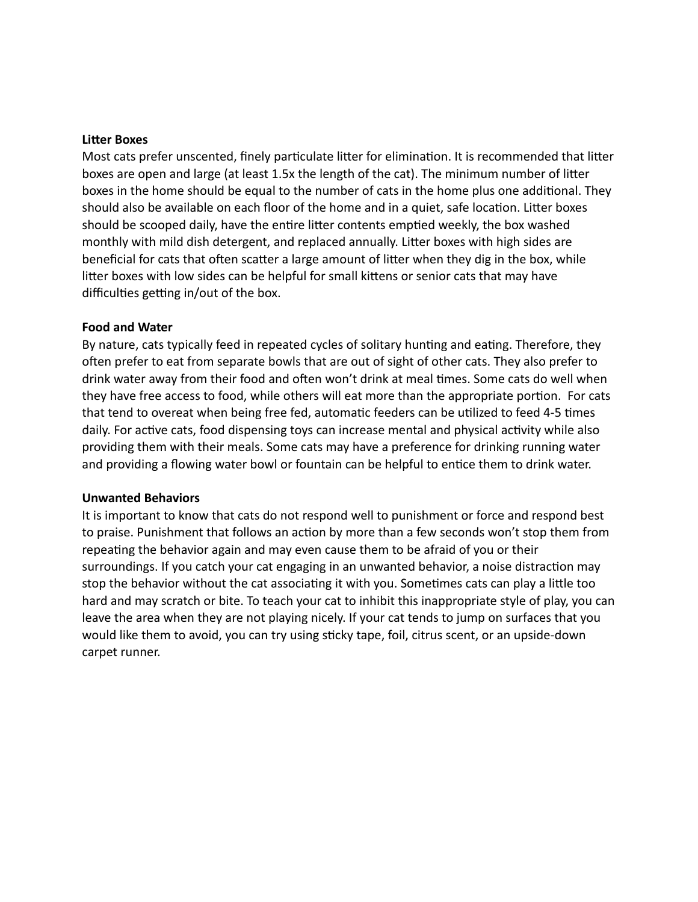#### **Litter Boxes**

Most cats prefer unscented, finely particulate litter for elimination. It is recommended that litter boxes are open and large (at least 1.5x the length of the cat). The minimum number of litter boxes in the home should be equal to the number of cats in the home plus one additional. They should also be available on each floor of the home and in a quiet, safe location. Litter boxes should be scooped daily, have the entire litter contents emptied weekly, the box washed monthly with mild dish detergent, and replaced annually. Litter boxes with high sides are beneficial for cats that often scatter a large amount of litter when they dig in the box, while litter boxes with low sides can be helpful for small kittens or senior cats that may have difficulties getting in/out of the box.

#### **Food and Water**

By nature, cats typically feed in repeated cycles of solitary hunting and eating. Therefore, they often prefer to eat from separate bowls that are out of sight of other cats. They also prefer to drink water away from their food and often won't drink at meal times. Some cats do well when they have free access to food, while others will eat more than the appropriate portion. For cats that tend to overeat when being free fed, automatic feeders can be utilized to feed 4-5 times daily. For active cats, food dispensing toys can increase mental and physical activity while also providing them with their meals. Some cats may have a preference for drinking running water and providing a flowing water bowl or fountain can be helpful to entice them to drink water.

#### **Unwanted Behaviors**

It is important to know that cats do not respond well to punishment or force and respond best to praise. Punishment that follows an action by more than a few seconds won't stop them from repeating the behavior again and may even cause them to be afraid of you or their surroundings. If you catch your cat engaging in an unwanted behavior, a noise distraction may stop the behavior without the cat associating it with you. Sometimes cats can play a little too hard and may scratch or bite. To teach your cat to inhibit this inappropriate style of play, you can leave the area when they are not playing nicely. If your cat tends to jump on surfaces that you would like them to avoid, you can try using sticky tape, foil, citrus scent, or an upside-down carpet runner.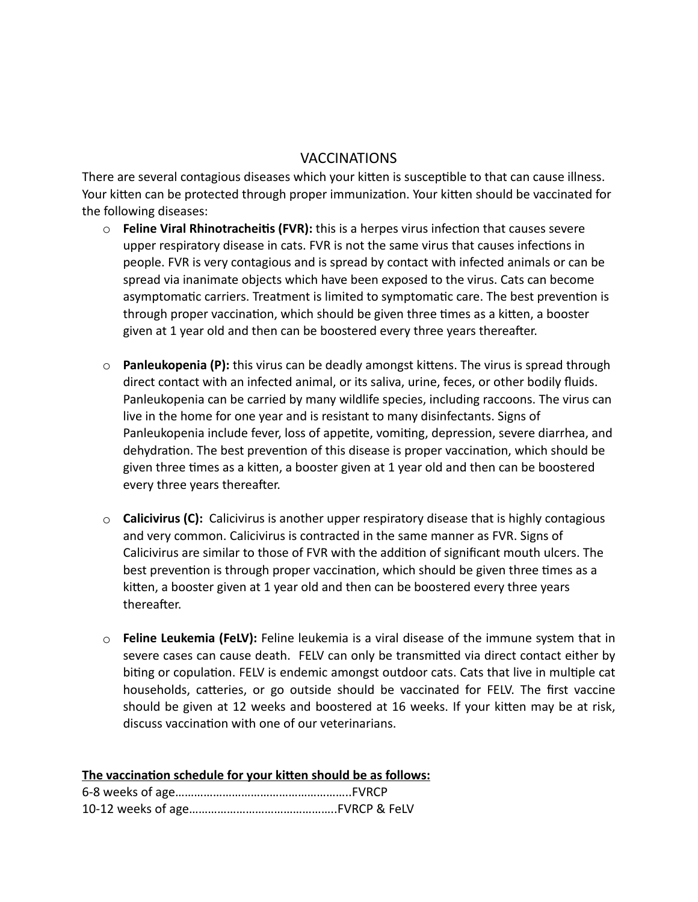# VACCINATIONS

There are several contagious diseases which your kitten is susceptible to that can cause illness. Your kitten can be protected through proper immunization. Your kitten should be vaccinated for the following diseases:

- $\circ$  **Feline Viral Rhinotracheitis (FVR):** this is a herpes virus infection that causes severe upper respiratory disease in cats. FVR is not the same virus that causes infections in people. FVR is very contagious and is spread by contact with infected animals or can be spread via inanimate objects which have been exposed to the virus. Cats can become asymptomatic carriers. Treatment is limited to symptomatic care. The best prevention is through proper vaccination, which should be given three times as a kitten, a booster given at 1 year old and then can be boostered every three years thereafter.
- $\circ$  **Panleukopenia (P):** this virus can be deadly amongst kittens. The virus is spread through direct contact with an infected animal, or its saliva, urine, feces, or other bodily fluids. Panleukopenia can be carried by many wildlife species, including raccoons. The virus can live in the home for one year and is resistant to many disinfectants. Signs of Panleukopenia include fever, loss of appetite, vomiting, depression, severe diarrhea, and dehydration. The best prevention of this disease is proper vaccination, which should be given three times as a kitten, a booster given at 1 year old and then can be boostered every three years thereafter.
- o **Calicivirus (C):** Calicivirus is another upper respiratory disease that is highly contagious and very common. Calicivirus is contracted in the same manner as FVR. Signs of Calicivirus are similar to those of FVR with the addition of significant mouth ulcers. The best prevention is through proper vaccination, which should be given three times as a kitten, a booster given at 1 year old and then can be boostered every three years thereafter.
- o **Feline Leukemia (FeLV):** Feline leukemia is a viral disease of the immune system that in severe cases can cause death. FELV can only be transmitted via direct contact either by biting or copulation. FELV is endemic amongst outdoor cats. Cats that live in multiple cat households, catteries, or go outside should be vaccinated for FELV. The first vaccine should be given at 12 weeks and boostered at 16 weeks. If your kitten may be at risk, discuss vaccination with one of our veterinarians.

| The vaccination schedule for your kitten should be as follows: |
|----------------------------------------------------------------|
|                                                                |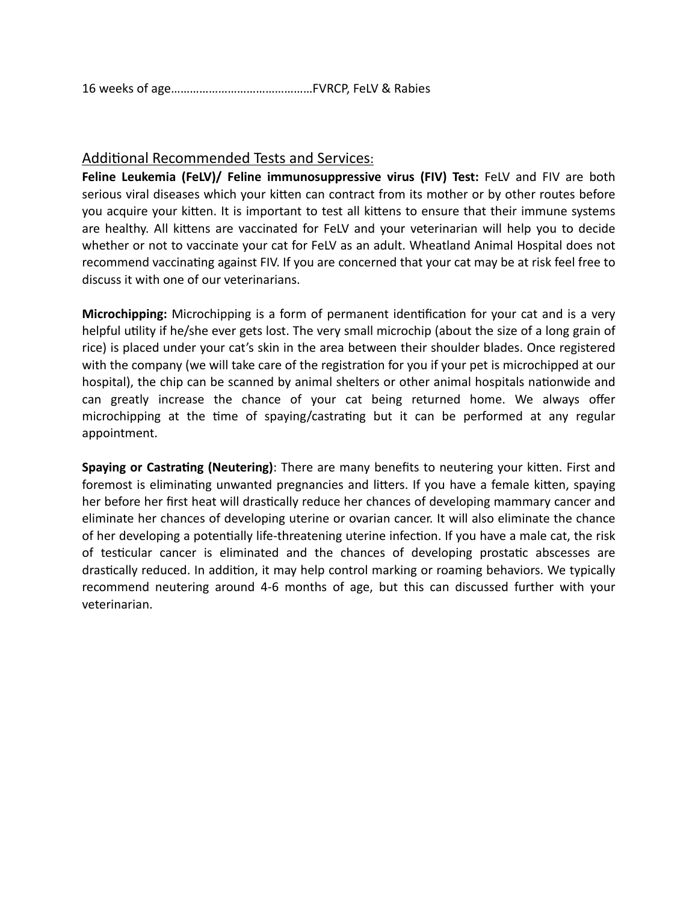16 weeks of age………………………………………FVRCP, FeLV & Rabies

# Additional Recommended Tests and Services:

**Feline Leukemia (FeLV)/ Feline immunosuppressive virus (FIV) Test:** FeLV and FIV are both serious viral diseases which your kitten can contract from its mother or by other routes before you acquire your kitten. It is important to test all kittens to ensure that their immune systems are healthy. All kittens are vaccinated for FeLV and your veterinarian will help you to decide whether or not to vaccinate your cat for FeLV as an adult. Wheatland Animal Hospital does not recommend vaccinating against FIV. If you are concerned that your cat may be at risk feel free to discuss it with one of our veterinarians.

**Microchipping:** Microchipping is a form of permanent identification for your cat and is a very helpful utility if he/she ever gets lost. The very small microchip (about the size of a long grain of rice) is placed under your cat's skin in the area between their shoulder blades. Once registered with the company (we will take care of the registration for you if your pet is microchipped at our hospital), the chip can be scanned by animal shelters or other animal hospitals nationwide and can greatly increase the chance of your cat being returned home. We always offer microchipping at the time of spaying/castrating but it can be performed at any regular appointment.

**Spaying or Castrating (Neutering)**: There are many benefits to neutering your kitten. First and foremost is eliminating unwanted pregnancies and litters. If you have a female kitten, spaying her before her first heat will drastically reduce her chances of developing mammary cancer and eliminate her chances of developing uterine or ovarian cancer. It will also eliminate the chance of her developing a potentially life-threatening uterine infection. If you have a male cat, the risk of testicular cancer is eliminated and the chances of developing prostatic abscesses are drastically reduced. In addition, it may help control marking or roaming behaviors. We typically recommend neutering around 4-6 months of age, but this can discussed further with your veterinarian.